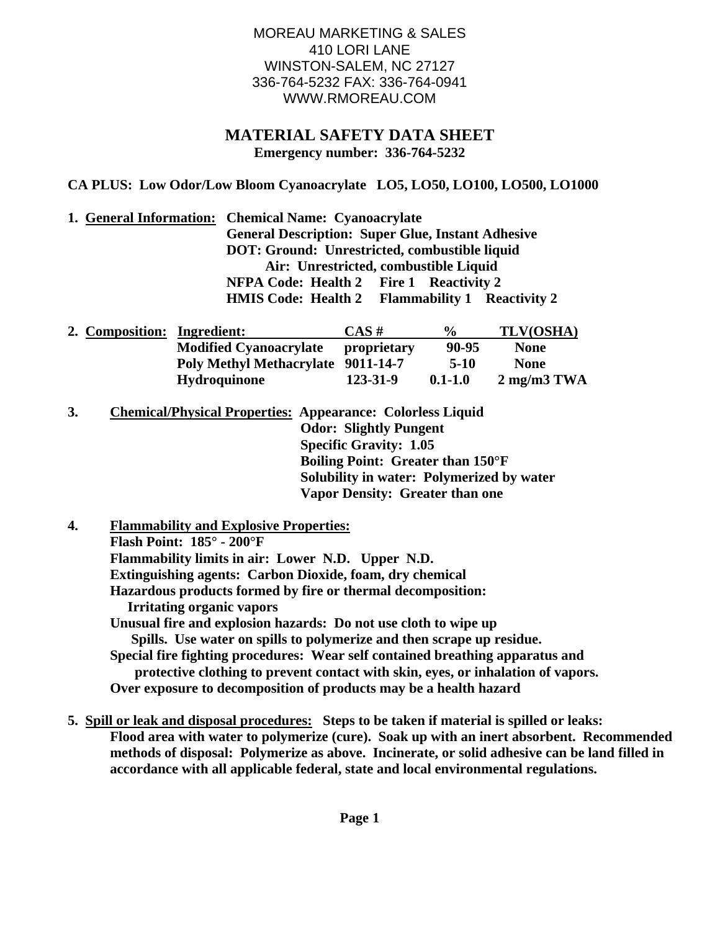## MOREAU MARKETING & SALES 410 LORI LANE WINSTON-SALEM, NC 27127 336-764-5232 FAX: 336-764-0941 WWW.RMOREAU.COM

## **MATERIAL SAFETY DATA SHEET Emergency number: 336-764-5232**

**CA PLUS: Low Odor/Low Bloom Cyanoacrylate LO5, LO50, LO100, LO500, LO1000** 

**1. General Information: Chemical Name: Cyanoacrylate General Description: Super Glue, Instant Adhesive DOT: Ground: Unrestricted, combustible liquid Air: Unrestricted, combustible Liquid NFPA Code: Health 2 Fire 1 Reactivity 2 HMIS Code: Health 2 Flammability 1 Reactivity 2** 

| 2. Composition: Ingredient: |                                           | $CAS \#$    | $\%$        | TLV(OSHA)                     |
|-----------------------------|-------------------------------------------|-------------|-------------|-------------------------------|
|                             | <b>Modified Cyanoacrylate</b>             | proprietary | 90-95       | <b>None</b>                   |
|                             | <b>Poly Methyl Methacrylate 9011-14-7</b> |             | $5-10$      | <b>None</b>                   |
|                             | <b>Hydroquinone</b>                       | 123-31-9    | $0.1 - 1.0$ | $2 \text{ mg/m}3 \text{ TWA}$ |

**3. Chemical/Physical Properties: Appearance: Colorless Liquid Odor: Slightly Pungent Specific Gravity: 1.05 Boiling Point: Greater than 150°F Solubility in water: Polymerized by water Vapor Density: Greater than one** 

**4. Flammability and Explosive Properties: Flash Point: 185° - 200°F Flammability limits in air: Lower N.D. Upper N.D. Extinguishing agents: Carbon Dioxide, foam, dry chemical Hazardous products formed by fire or thermal decomposition: Irritating organic vapors Unusual fire and explosion hazards: Do not use cloth to wipe up Spills. Use water on spills to polymerize and then scrape up residue. Special fire fighting procedures: Wear self contained breathing apparatus and protective clothing to prevent contact with skin, eyes, or inhalation of vapors. Over exposure to decomposition of products may be a health hazard** 

**5. Spill or leak and disposal procedures: Steps to be taken if material is spilled or leaks: Flood area with water to polymerize (cure). Soak up with an inert absorbent. Recommended methods of disposal: Polymerize as above. Incinerate, or solid adhesive can be land filled in accordance with all applicable federal, state and local environmental regulations.**